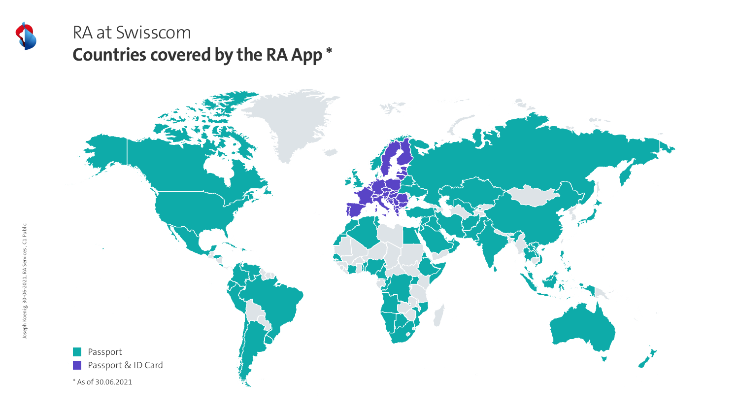